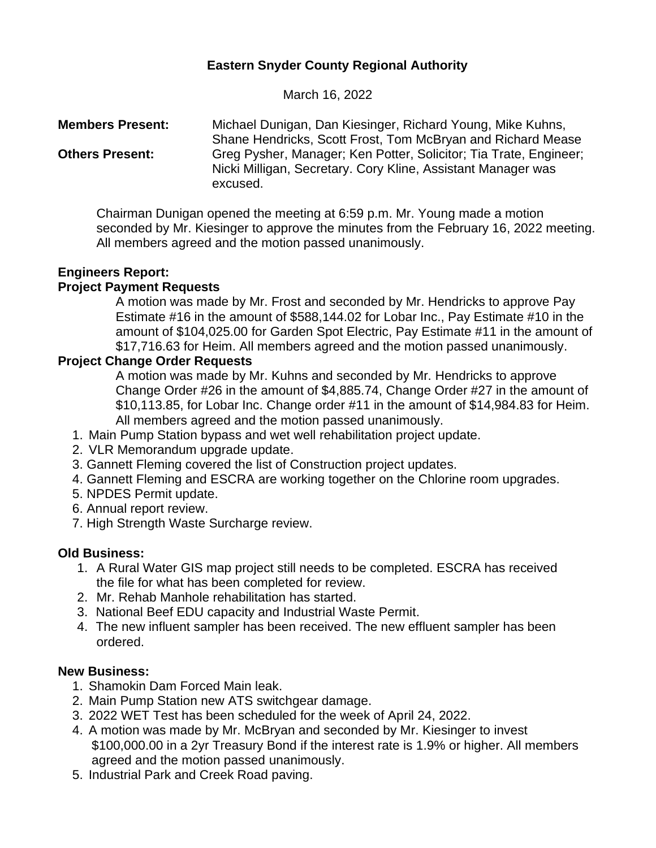# **Eastern Snyder County Regional Authority**

March 16, 2022

**Members Present:** Michael Dunigan, Dan Kiesinger, Richard Young, Mike Kuhns, Shane Hendricks, Scott Frost, Tom McBryan and Richard Mease **Others Present:** Greg Pysher, Manager; Ken Potter, Solicitor; Tia Trate, Engineer; Nicki Milligan, Secretary. Cory Kline, Assistant Manager was excused.

Chairman Dunigan opened the meeting at 6:59 p.m. Mr. Young made a motion seconded by Mr. Kiesinger to approve the minutes from the February 16, 2022 meeting. All members agreed and the motion passed unanimously.

## **Engineers Report:**

## **Project Payment Requests**

A motion was made by Mr. Frost and seconded by Mr. Hendricks to approve Pay Estimate #16 in the amount of \$588,144.02 for Lobar Inc., Pay Estimate #10 in the amount of \$104,025.00 for Garden Spot Electric, Pay Estimate #11 in the amount of \$17,716.63 for Heim. All members agreed and the motion passed unanimously.

## **Project Change Order Requests**

A motion was made by Mr. Kuhns and seconded by Mr. Hendricks to approve Change Order #26 in the amount of \$4,885.74, Change Order #27 in the amount of \$10,113.85, for Lobar Inc. Change order #11 in the amount of \$14,984.83 for Heim. All members agreed and the motion passed unanimously.

- 1. Main Pump Station bypass and wet well rehabilitation project update.
- 2. VLR Memorandum upgrade update.
- 3. Gannett Fleming covered the list of Construction project updates.
- 4. Gannett Fleming and ESCRA are working together on the Chlorine room upgrades.
- 5. NPDES Permit update.
- 6. Annual report review.
- 7. High Strength Waste Surcharge review.

### **Old Business:**

- 1. A Rural Water GIS map project still needs to be completed. ESCRA has received the file for what has been completed for review.
- 2. Mr. Rehab Manhole rehabilitation has started.
- 3. National Beef EDU capacity and Industrial Waste Permit.
- 4. The new influent sampler has been received. The new effluent sampler has been ordered.

### **New Business:**

- 1. Shamokin Dam Forced Main leak.
- 2. Main Pump Station new ATS switchgear damage.
- 3. 2022 WET Test has been scheduled for the week of April 24, 2022.
- 4. A motion was made by Mr. McBryan and seconded by Mr. Kiesinger to invest \$100,000.00 in a 2yr Treasury Bond if the interest rate is 1.9% or higher. All members agreed and the motion passed unanimously.
- 5. Industrial Park and Creek Road paving.